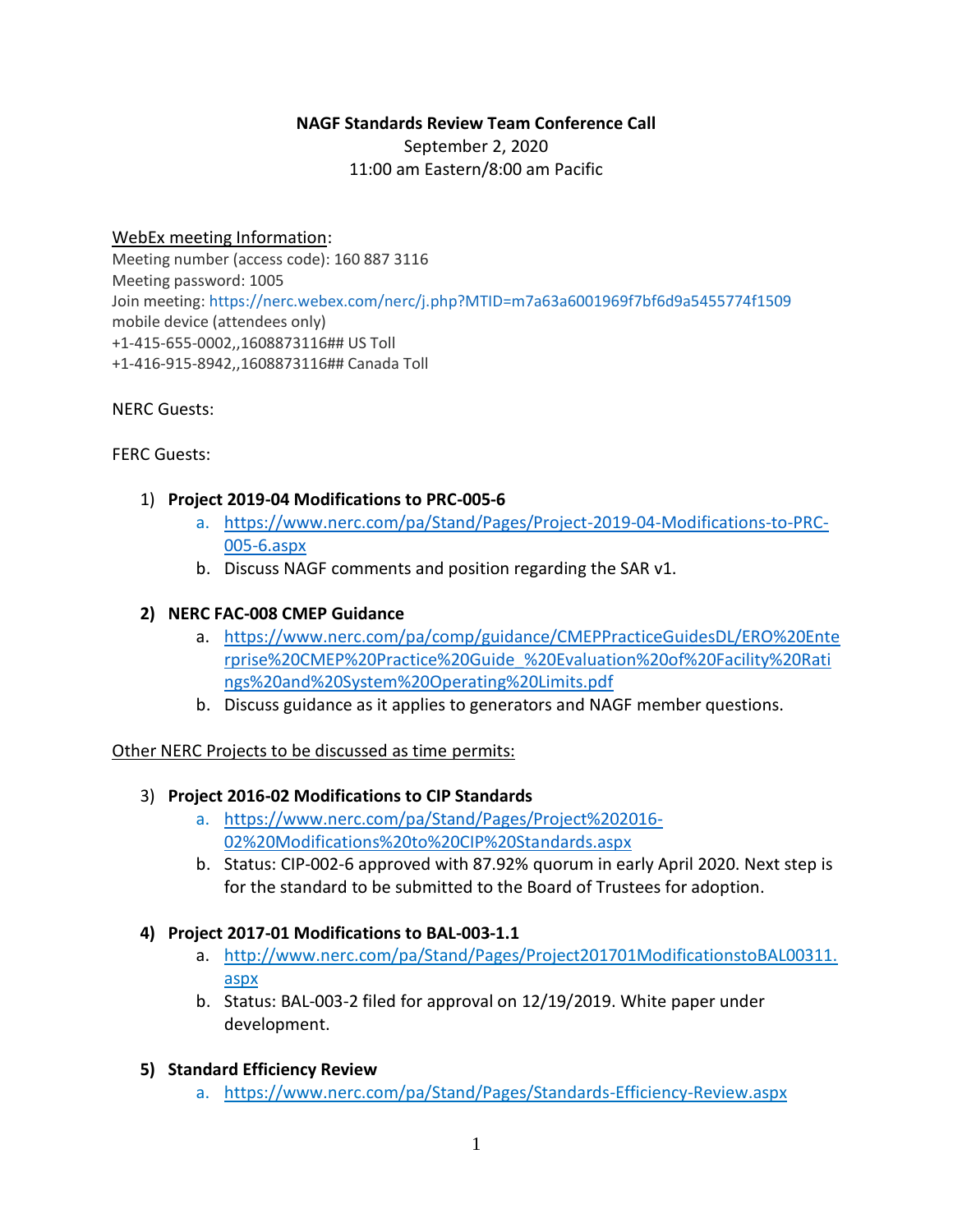### **NAGF Standards Review Team Conference Call**

September 2, 2020 11:00 am Eastern/8:00 am Pacific

### WebEx meeting Information:

Meeting number (access code): 160 887 3116 Meeting password: 1005 Join meeting: <https://nerc.webex.com/nerc/j.php?MTID=m7a63a6001969f7bf6d9a5455774f1509> mobile device (attendees only) +1-415-655-0002,,1608873116## US Toll +1-416-915-8942,,1608873116## Canada Toll

### NERC Guests:

FERC Guests:

### 1) **Project 2019-04 Modifications to PRC-005-6**

- a. [https://www.nerc.com/pa/Stand/Pages/Project-2019-04-Modifications-to-PRC-](https://www.nerc.com/pa/Stand/Pages/Project-2019-04-Modifications-to-PRC-005-6.aspx)[005-6.aspx](https://www.nerc.com/pa/Stand/Pages/Project-2019-04-Modifications-to-PRC-005-6.aspx)
- b. Discuss NAGF comments and position regarding the SAR v1.

#### **2) NERC FAC-008 CMEP Guidance**

- a. [https://www.nerc.com/pa/comp/guidance/CMEPPracticeGuidesDL/ERO%20Ente](https://www.nerc.com/pa/comp/guidance/CMEPPracticeGuidesDL/ERO%20Enterprise%20CMEP%20Practice%20Guide_%20Evaluation%20of%20Facility%20Ratings%20and%20System%20Operating%20Limits.pdf) [rprise%20CMEP%20Practice%20Guide\\_%20Evaluation%20of%20Facility%20Rati](https://www.nerc.com/pa/comp/guidance/CMEPPracticeGuidesDL/ERO%20Enterprise%20CMEP%20Practice%20Guide_%20Evaluation%20of%20Facility%20Ratings%20and%20System%20Operating%20Limits.pdf) [ngs%20and%20System%20Operating%20Limits.pdf](https://www.nerc.com/pa/comp/guidance/CMEPPracticeGuidesDL/ERO%20Enterprise%20CMEP%20Practice%20Guide_%20Evaluation%20of%20Facility%20Ratings%20and%20System%20Operating%20Limits.pdf)
- b. Discuss guidance as it applies to generators and NAGF member questions.

### Other NERC Projects to be discussed as time permits:

- 3) **Project 2016-02 Modifications to CIP Standards**
	- a. [https://www.nerc.com/pa/Stand/Pages/Project%202016-](https://www.nerc.com/pa/Stand/Pages/Project%202016-02%20Modifications%20to%20CIP%20Standards.aspx) [02%20Modifications%20to%20CIP%20Standards.aspx](https://www.nerc.com/pa/Stand/Pages/Project%202016-02%20Modifications%20to%20CIP%20Standards.aspx)
	- b. Status: CIP-002-6 approved with 87.92% quorum in early April 2020. Next step is for the standard to be submitted to the Board of Trustees for adoption.

### **4) Project 2017-01 Modifications to BAL-003-1.1**

- a. [http://www.nerc.com/pa/Stand/Pages/Project201701ModificationstoBAL00311.](http://www.nerc.com/pa/Stand/Pages/Project201701ModificationstoBAL00311.aspx) [aspx](http://www.nerc.com/pa/Stand/Pages/Project201701ModificationstoBAL00311.aspx)
- b. Status: BAL-003-2 filed for approval on 12/19/2019. White paper under development.

### **5) Standard Efficiency Review**

a. <https://www.nerc.com/pa/Stand/Pages/Standards-Efficiency-Review.aspx>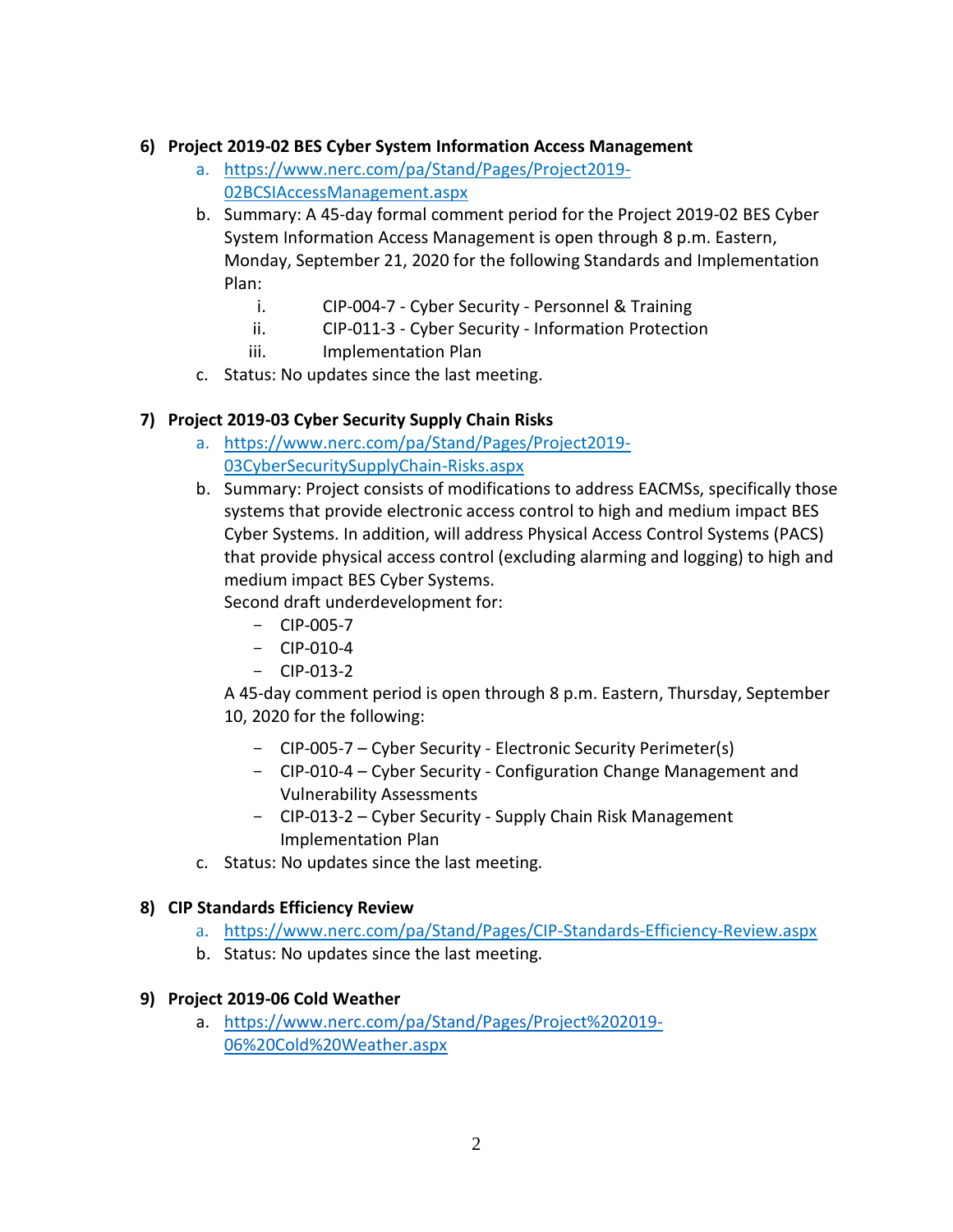### **6) Project 2019-02 BES Cyber System Information Access Management**

- a. [https://www.nerc.com/pa/Stand/Pages/Project2019-](https://www.nerc.com/pa/Stand/Pages/Project2019-02BCSIAccessManagement.aspx) [02BCSIAccessManagement.aspx](https://www.nerc.com/pa/Stand/Pages/Project2019-02BCSIAccessManagement.aspx)
- b. Summary: A 45-day formal comment period for the Project 2019-02 BES Cyber System Information Access Management is open through 8 p.m. Eastern, Monday, September 21, 2020 for the following Standards and Implementation Plan:
	- i. CIP-004-7 Cyber Security Personnel & Training
	- ii. CIP-011-3 Cyber Security Information Protection
	- iii. Implementation Plan
- c. Status: No updates since the last meeting.

## **7) Project 2019-03 Cyber Security Supply Chain Risks**

- a. [https://www.nerc.com/pa/Stand/Pages/Project2019-](https://www.nerc.com/pa/Stand/Pages/Project2019-03CyberSecuritySupplyChain-Risks.aspx) [03CyberSecuritySupplyChain-Risks.aspx](https://www.nerc.com/pa/Stand/Pages/Project2019-03CyberSecuritySupplyChain-Risks.aspx)
- b. Summary: Project consists of modifications to address EACMSs, specifically those systems that provide electronic access control to high and medium impact BES Cyber Systems. In addition, will address Physical Access Control Systems (PACS) that provide physical access control (excluding alarming and logging) to high and medium impact BES Cyber Systems.

Second draft underdevelopment for:

- CIP-005-7
- $-$  CIP-010-4
- $-$  CIP-013-2

A 45-day comment period is open through 8 p.m. Eastern, Thursday, September 10, 2020 for the following:

- CIP-005-7 Cyber Security Electronic Security Perimeter(s)
- CIP-010-4 Cyber Security Configuration Change Management and Vulnerability Assessments
- CIP-013-2 Cyber Security Supply Chain Risk Management Implementation Plan
- c. Status: No updates since the last meeting.

## **8) CIP Standards Efficiency Review**

- a. <https://www.nerc.com/pa/Stand/Pages/CIP-Standards-Efficiency-Review.aspx>
- b. Status: No updates since the last meeting.

## **9) Project 2019-06 Cold Weather**

a. [https://www.nerc.com/pa/Stand/Pages/Project%202019-](https://www.nerc.com/pa/Stand/Pages/Project%202019-06%20Cold%20Weather.aspx) [06%20Cold%20Weather.aspx](https://www.nerc.com/pa/Stand/Pages/Project%202019-06%20Cold%20Weather.aspx)